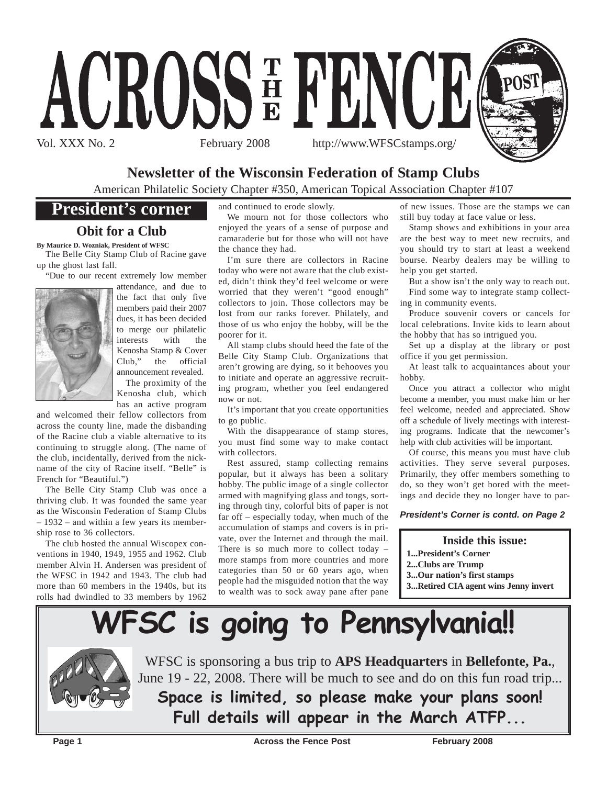

## **Newsletter of the Wisconsin Federation of Stamp Clubs**

American Philatelic Society Chapter #350, American Topical Association Chapter #107

# **President's corner**

## **Obit for a Club**

**By Maurice D. Wozniak, President of WFSC**

The Belle City Stamp Club of Racine gave up the ghost last fall.

"Due to our recent extremely low member



attendance, and due to the fact that only five members paid their 2007 dues, it has been decided to merge our philatelic interests with the Kenosha Stamp & Cover Club," the official announcement revealed.

The proximity of the Kenosha club, which has an active program

and welcomed their fellow collectors from across the county line, made the disbanding of the Racine club a viable alternative to its continuing to struggle along. (The name of the club, incidentally, derived from the nickname of the city of Racine itself. "Belle" is French for "Beautiful.")

The Belle City Stamp Club was once a thriving club. It was founded the same year as the Wisconsin Federation of Stamp Clubs – 1932 – and within a few years its membership rose to 36 collectors.

The club hosted the annual Wiscopex conventions in 1940, 1949, 1955 and 1962. Club member Alvin H. Andersen was president of the WFSC in 1942 and 1943. The club had more than 60 members in the 1940s, but its rolls had dwindled to 33 members by 1962

and continued to erode slowly.

We mourn not for those collectors who enjoyed the years of a sense of purpose and camaraderie but for those who will not have the chance they had.

I'm sure there are collectors in Racine today who were not aware that the club existed, didn't think they'd feel welcome or were worried that they weren't "good enough" collectors to join. Those collectors may be lost from our ranks forever. Philately, and those of us who enjoy the hobby, will be the poorer for it.

All stamp clubs should heed the fate of the Belle City Stamp Club. Organizations that aren't growing are dying, so it behooves you to initiate and operate an aggressive recruiting program, whether you feel endangered now or not.

It's important that you create opportunities to go public.

With the disappearance of stamp stores, you must find some way to make contact with collectors.

Rest assured, stamp collecting remains popular, but it always has been a solitary hobby. The public image of a single collector armed with magnifying glass and tongs, sorting through tiny, colorful bits of paper is not far off – especially today, when much of the accumulation of stamps and covers is in private, over the Internet and through the mail. There is so much more to collect today – more stamps from more countries and more categories than 50 or 60 years ago, when people had the misguided notion that the way to wealth was to sock away pane after pane

of new issues. Those are the stamps we can still buy today at face value or less.

Stamp shows and exhibitions in your area are the best way to meet new recruits, and you should try to start at least a weekend bourse. Nearby dealers may be willing to help you get started.

But a show isn't the only way to reach out. Find some way to integrate stamp collecting in community events.

Produce souvenir covers or cancels for local celebrations. Invite kids to learn about the hobby that has so intrigued you.

Set up a display at the library or post office if you get permission.

At least talk to acquaintances about your hobby.

Once you attract a collector who might become a member, you must make him or her feel welcome, needed and appreciated. Show off a schedule of lively meetings with interesting programs. Indicate that the newcomer's help with club activities will be important.

Of course, this means you must have club activities. They serve several purposes. Primarily, they offer members something to do, so they won't get bored with the meetings and decide they no longer have to par-

## *President's Corner is contd. on Page 2*

## **Inside this issue:**

**1...President's Corner**

**2...Clubs are Trump**

- **3...Our nation's first stamps**
- **3...Retired CIA agent wins Jenny invert**





WFSC is sponsoring a bus trip to **APS Headquarters** in **Bellefonte, Pa.**, June 19 - 22, 2008. There will be much to see and do on this fun road trip...

**Space is limited, so please make your plans soon! Full details will appear in the March ATFP...**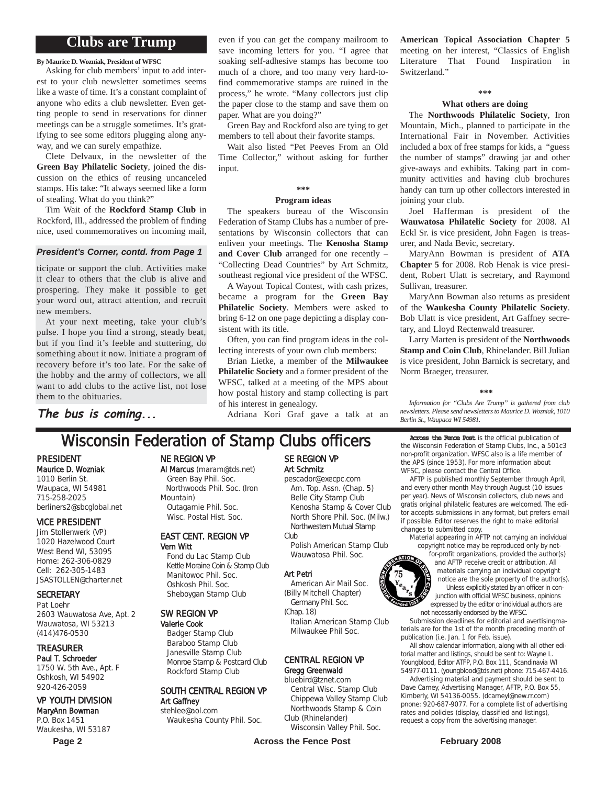## **Clubs are Trump**

**By Maurice D. Wozniak, President of WFSC**

Asking for club members' input to add interest to your club newsletter sometimes seems like a waste of time. It's a constant complaint of anyone who edits a club newsletter. Even getting people to send in reservations for dinner meetings can be a struggle sometimes. It's gratifying to see some editors plugging along anyway, and we can surely empathize.

Clete Delvaux, in the newsletter of the **Green Bay Philatelic Society**, joined the discussion on the ethics of reusing uncanceled stamps. His take: "It always seemed like a form of stealing. What do you think?"

Tim Wait of the **Rockford Stamp Club** in Rockford, Ill., addressed the problem of finding nice, used commemoratives on incoming mail,

## *President's Corner, contd. from Page 1*

ticipate or support the club. Activities make it clear to others that the club is alive and prospering. They make it possible to get your word out, attract attention, and recruit new members.

At your next meeting, take your club's pulse. I hope you find a strong, steady beat, but if you find it's feeble and stuttering, do something about it now. Initiate a program of recovery before it's too late. For the sake of the hobby and the army of collectors, we all want to add clubs to the active list, not lose them to the obituaries.

even if you can get the company mailroom to save incoming letters for you. "I agree that soaking self-adhesive stamps has become too much of a chore, and too many very hard-tofind commemorative stamps are ruined in the process," he wrote. "Many collectors just clip the paper close to the stamp and save them on paper. What are you doing?"

Green Bay and Rockford also are tying to get members to tell about their favorite stamps.

Wait also listed "Pet Peeves From an Old Time Collector," without asking for further input

## **\*\*\***

#### **Program ideas**

The speakers bureau of the Wisconsin Federation of Stamp Clubs has a number of presentations by Wisconsin collectors that can enliven your meetings. The **Kenosha Stamp and Cover Club** arranged for one recently – "Collecting Dead Countries" by Art Schmitz, southeast regional vice president of the WFSC.

A Wayout Topical Contest, with cash prizes, became a program for the **Green Bay Philatelic Society**. Members were asked to bring 6-12 on one page depicting a display consistent with its title.

Often, you can find program ideas in the collecting interests of your own club members:

Brian Lietke, a member of the **Milwaukee Philatelic Society** and a former president of the WFSC, talked at a meeting of the MPS about how postal history and stamp collecting is part of his interest in genealogy.

Adriana Kori Graf gave a talk at an

### **American Topical Association Chapter 5** meeting on her interest, "Classics of English Literature That Found Inspiration in Switzerland."

#### **\*\*\***

#### **What others are doing**

The **Northwoods Philatelic Society**, Iron Mountain, Mich., planned to participate in the International Fair in November. Activities included a box of free stamps for kids, a "guess the number of stamps" drawing jar and other give-aways and exhibits. Taking part in community activities and having club brochures handy can turn up other collectors interested in joining your club.

Joel Hafferman is president of the **Wauwatosa Philatelic Society** for 2008. Al Eckl Sr. is vice president, John Fagen is treasurer, and Nada Bevic, secretary.

MaryAnn Bowman is president of **ATA Chapter 5** for 2008. Rob Henak is vice president, Robert Ulatt is secretary, and Raymond Sullivan, treasurer.

MaryAnn Bowman also returns as president of the **Waukesha County Philatelic Society**. Bob Ulatt is vice president, Art Gaffney secretary, and Lloyd Rectenwald treasurer.

Larry Marten is president of the **Northwoods Stamp and Coin Club**, Rhinelander. Bill Julian is vice president, John Barnick is secretary, and Norm Braeger, treasurer.

#### **\*\*\***

*Information for "Clubs Are Trump" is gathered from club newsletters. Please send newsletters to Maurice D. Wozniak, 1010 Berlin St., Waupaca WI 54981.*

## **The bus is coming...**

## Wisconsin Federation of Stamp Clubs officers Across the Fence Post is the official publication of Stamp Clubs, Inc., a 5016

#### PRESIDENT Maurice D. Wozniak

1010 Berlin St. Waupaca, WI 54981 715-258-2025 berliners2@sbcglobal.net

### VICE PRESIDENT

Jim Stollenwerk (VP) 1020 Hazelwood Court West Bend WI, 53095 Home: 262-306-0829 Cell: 262-305-1483 JSASTOLLEN@charter.net

### **SECRETARY**

Pat Loehr 2603 Wauwatosa Ave, Apt. 2 Wauwatosa, WI 53213 (414)476-0530

## TREASURER

Paul T. Schroeder 1750 W. 5th Ave., Apt. F Oshkosh, WI 54902 920-426-2059

## VP YOUTH DIVISION

MaryAnn Bowman P.O. Box 1451 Waukesha, WI 53187

## NE REGION VP

Al Marcus (maram@tds.net) Green Bay Phil. Soc.

Northwoods Phil. Soc. (Iron Mountain) Outagamie Phil. Soc. Wisc. Postal Hist. Soc.

#### EAST CENT. REGION VP Vern Witt

Fond du Lac Stamp Club Kettle Moraine Coin & Stamp Club Manitowoc Phil. Soc. Oshkosh Phil. Soc. Sheboygan Stamp Club

### SW REGION VP

Valerie Cook Badger Stamp Club Baraboo Stamp Club Janesville Stamp Club Monroe Stamp & Postcard Club Rockford Stamp Club

## SOUTH CENTRAL REGION VP Art Gaffney

stehlee@aol.com Waukesha County Phil. Soc.

## SE REGION VP Art Schmitz

pescador@execpc.com Am. Top. Assn. (Chap. 5) Belle City Stamp Club Kenosha Stamp & Cover Club North Shore Phil. Soc. (Milw.) Northwestern Mutual Stamp Club

Polish American Stamp Club Wauwatosa Phil. Soc.

#### Art Petri

- American Air Mail Soc. (Billy Mitchell Chapter) Germany Phil. Soc.
- (Chap. 18)

Italian American Stamp Club Milwaukee Phil Soc.

#### CENTRAL REGION VP Gregg Greenwald

## bluebird@tznet.com

Central Wisc. Stamp Club Chippewa Valley Stamp Club Northwoods Stamp & Coin Club (Rhinelander)

Wisconsin Valley Phil. Soc.

Page 2 **Across the Fence Post February 2008 February 2008** 

the Wisconsin Federation of Stamp Clubs, Inc., a 501c3 non-profit organization. WFSC also is a life member of the APS (since 1953). For more information about WFSC, please contact the Central Office.

AFTP is published monthly September through April, and every other month May through August (10 issues per year). News of Wisconsin collectors, club news and gratis original philatelic features are welcomed. The editor accepts submissions in any format, but prefers email if possible. Editor reserves the right to make editorial changes to submitted copy.

Material appearing in AFTP not carrying an individual copyright notice may be reproduced only by not-

for-profit organizations, provided the author(s) and AFTP receive credit or attribution. All materials carrying an individual copyright notice are the sole property of the author(s). Unless explicitly stated by an officer in conjunction with official WFSC business, opinions expressed by the editor or individual authors are not necessarily endorsed by the WFSC.

Submission deadlines for editorial and avertisingmaterials are for the 1st of the month preceding month of publication (i.e. Jan. 1 for Feb. issue).

All show calendar information, along with all other editorial matter and listings, should be sent to: Wayne L. Youngblood, Editor ATFP, P.O. Box 111, Scandinavia WI 54977-0111. (youngblood@tds.net) phone: 715-467-4416.

Advertising material and payment should be sent to Dave Carney, Advertising Manager, AFTP, P.O. Box 55, Kimberly, WI 54136-0055. (dcarneyl@new.rr.com) pnone: 920-687-9077. For a complete list of advertising rates and policies (display, classified and listings), request a copy from the advertising manager.

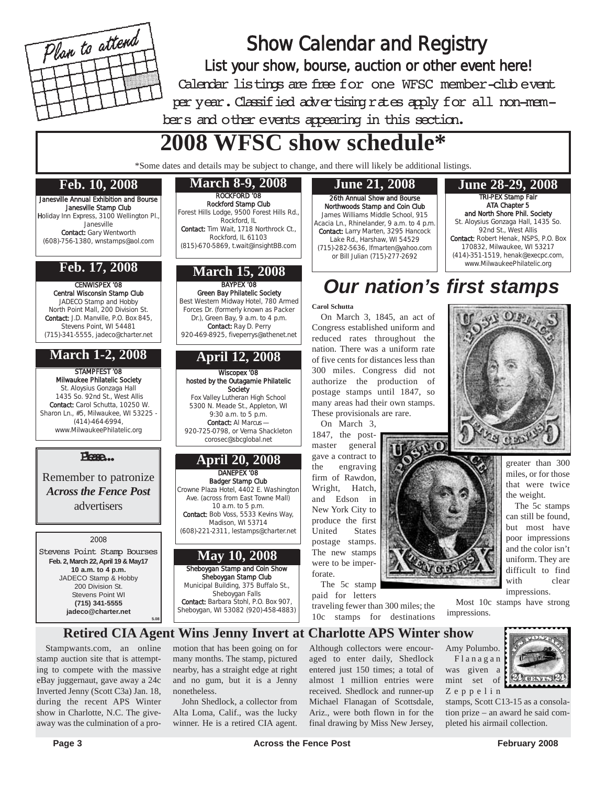

## Show Calendar and Registry List your show, bourse, auction or other event here! Calendar listings are free for one WFSC member-club event per year. Classified advertising rates apply for all non-members and other events appearing in this section.

# **2008 WFSC show schedule\***

\*Some dates and details may be subject to change, and there will likely be additional listings.

## **Feb. 10, 2008**

Janesville Annual Exhibition and Bourse Janesville Stamp Club Holiday Inn Express, 3100 Wellington Pl., Janesville Contact: Gary Wentworth (608)-756-1380, wnstamps@aol.com

## **Feb. 17, 2008**

CENWISPEX '08 Central Wisconsin Stamp Club JADECO Stamp and Hobby North Point Mall, 200 Division St. Contact: J.D. Manville, P.O. Box 845, Stevens Point, WI 54481 (715)-341-5555, jadeco@charter.net

## **March 1-2, 2008**

STAMPFEST '08 Milwaukee Philatelic Society St. Aloysius Gonzaga Hall 1435 So. 92nd St., West Allis Contact: Carol Schutta, 10250 W. Sharon Ln., #5, Milwaukee, WI 53225 -(414)-464-6994, www.MilwaukeePhilatelic.org

## Please...

Remember to patronize *Across the Fence Post* advertisers

## 2008

Stevens Point Stamp Bourses **Feb. 2, March 22, April 19 & May17 10 a.m. to 4 p.m.** JADECO Stamp & Hobby 200 Division St. Stevens Point WI **(715) 341-5555 jadeco@charter.net 5.08**

# ROCKFORD '08

Rockford Stamp Club Forest Hills Lodge, 9500 Forest Hills Rd., Rockford, IL

Contact: Tim Wait, 1718 Northrock Ct., Rockford, IL 61103 (815)-670-5869, t.wait@insightBB.com

## **March 15, 2008**

BAYPEX '08 Green Bay Philatelic Society Best Western Midway Hotel, 780 Armed Forces Dr. (formerly known as Packer Dr.), Green Bay, 9 a.m. to 4 p.m. Contact: Ray D. Perry 920-469-8925, fiveperrys@athenet.net

## **April 12, 2008**

Wiscopex '08 hosted by the Outagamie Philatelic Society Fox Valley Lutheran High School 5300 N. Meade St., Appleton, WI

9:30 a.m. to 5 p.m. Contact: Al Marcus — 920-725-0798, or Verna Shackleton corosec@sbcglobal.net

## DANEPEX '08 **April 20, 2008**

Badger Stamp Club

Crowne Plaza Hotel, 4402 E. Washington Ave. (across from East Towne Mall)  $10$  a.m. to 5 p.m. Contact: Bob Voss, 5533 Kevins Way, Madison, WI 53714 (608)-221-2311, lestamps@charter.net

## Sheboygan Stamp and Coin Show **May 10, 2008**

Sheboygan Stamp Club Municipal Building, 375 Buffalo St., Sheboygan Falls Contact: Barbara Stohl, P.O. Box 907, Sheboygan, WI 53082 (920)-458-4883)

### 26th Annual Show and Bourse Northwoods Stamp and Coin Club James Williams Middle School, 915 Acacia Ln., Rhinelander, 9 a.m. to 4 p.m. Contact: Larry Marten, 3295 Hancock Lake Rd., Harshaw, WI 54529 (715)-282-5636, lfmarten@yahoo.com or Bill Julian (715)-277-2692

#### TRI-PEX Stamp Fair ATA Chapter 5 and North Shore Phil. Society St. Aloysius Gonzaga Hall, 1435 So. 92nd St., West Allis Contact: Robert Henak, NSPS, P.O. Box 170832, Milwaukee, WI 53217 (414)-351-1519, henak@execpc.com, www.MilwaukeePhilatelic.org **March 8-9, 2008 June 21, 2008 June 28-29, 2008**

# *Our nation's first stamps*

 $0.9<sub>12</sub>$ 

## **Carol Schutta**

On March 3, 1845, an act of Congress established uniform and reduced rates throughout the nation. There was a uniform rate of five cents for distances less than 300 miles. Congress did not authorize the production of postage stamps until 1847, so many areas had their own stamps. These provisionals are rare.

On March 3, 1847, the postmaster general gave a contract to the engraving firm of Rawdon, Wright, Hatch, and Edson in New York City to produce the first United States postage stamps. The new stamps were to be imperforate.

The 5c stamp paid for letters traveling fewer than 300 miles; the 10c stamps for destinations



Stampwants.com, an online stamp auction site that is attempting to compete with the massive eBay juggernaut, gave away a 24c Inverted Jenny (Scott C3a) Jan. 18, during the recent APS Winter show in Charlotte, N.C. The giveaway was the culmination of a promotion that has been going on for many months. The stamp, pictured nearby, has a straight edge at right and no gum, but it is a Jenny nonetheless.

John Shedlock, a collector from Alta Loma, Calif., was the lucky winner. He is a retired CIA agent.

Although collectors were encouraged to enter daily, Shedlock entered just 150 times; a total of almost 1 million entries were received. Shedlock and runner-up Michael Flanagan of Scottsdale, Ariz., were both flown in for the final drawing by Miss New Jersey,



greater than 300 miles, or for those that were twice the weight.

The 5c stamps can still be found, but most have poor impressions and the color isn't uniform. They are difficult to find with clear impressions.

Most 10c stamps have strong impressions.

Amy Polumbo. Flanagan was given a mint set of Zeppelin



stamps, Scott C13-15 as a consolation prize – an award he said completed his airmail collection.